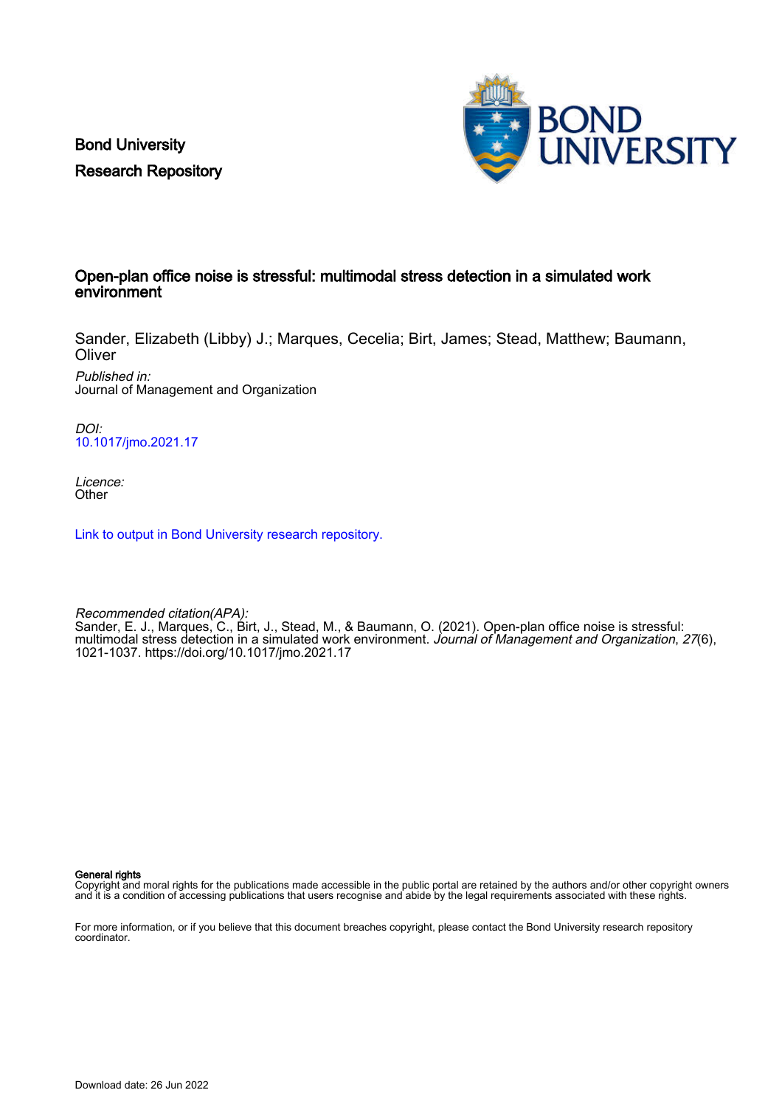Bond University Research Repository



#### Open-plan office noise is stressful: multimodal stress detection in a simulated work environment

Sander, Elizabeth (Libby) J.; Marques, Cecelia; Birt, James; Stead, Matthew; Baumann, **Oliver** 

Published in: Journal of Management and Organization

DOI: [10.1017/jmo.2021.17](https://doi.org/10.1017/jmo.2021.17)

Licence: **Other** 

[Link to output in Bond University research repository.](https://research.bond.edu.au/en/publications/d37bb2e3-ceda-436d-9688-7b3a93a67fa0)

Recommended citation(APA): Sander, E. J., Marques, C., Birt, J., Stead, M., & Baumann, O. (2021). Open-plan office noise is stressful: multimodal stress detection in a simulated work environment. Journal of Management and Organization, 27(6), 1021-1037.<https://doi.org/10.1017/jmo.2021.17>

General rights

Copyright and moral rights for the publications made accessible in the public portal are retained by the authors and/or other copyright owners and it is a condition of accessing publications that users recognise and abide by the legal requirements associated with these rights.

For more information, or if you believe that this document breaches copyright, please contact the Bond University research repository coordinator.